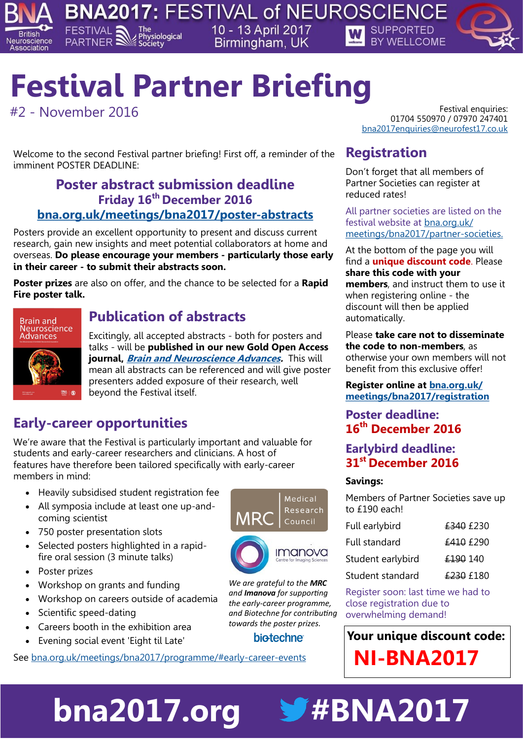



**British** 

Neuroscience Association

> Welcome to the second Festival partner briefing! First off, a reminder of the imminent POSTER DEADLINE:

## **Poster abstract submission deadline Friday 16th December 2016 [bna.org.uk/meetings/bna2017/poster-abstracts](see%20https:/www.bna.org.uk/meetings/bna2017/poster-abstracts/)**

Posters provide an excellent opportunity to present and discuss current research, gain new insights and meet potential collaborators at home and overseas. **Do please encourage your members - particularly those early in their career - to submit their abstracts soon.**

**Poster prizes** are also on offer, and the chance to be selected for a **Rapid Fire poster talk.** 



## **Publication of abstracts**

Excitingly, all accepted abstracts - both for posters and talks - will be **published in our new Gold Open Access journal, [Brain and Neuroscience Advances.](https://www.bna.org.uk/publications/bna-journal/)** This will mean all abstracts can be referenced and will give poster presenters added exposure of their research, well beyond the Festival itself.

# **Early-career opportunities**

We're aware that the Festival is particularly important and valuable for students and early-career researchers and clinicians. A host of features have therefore been tailored specifically with early-career members in mind:

- Heavily subsidised student registration fee
- All symposia include at least one up-andcoming scientist
- 750 poster presentation slots
- Selected posters highlighted in a rapidfire oral session (3 minute talks)
- Poster prizes
- Workshop on grants and funding
- Workshop on careers outside of academia
- Scientific speed-dating
- Careers booth in the exhibition area
- Evening social event 'Eight til Late'

See [bna.org.uk/meetings/bna2017/programme/#early-career-events](https://www.bna.org.uk/meetings/bna2017/programme/#early-career-events)



*We are grateful to the MRC and Imanova for supporting the early-career programme, and Biotechne for contributing towards the poster prizes.*

## **biotechne**

**bna2017.org** #BNA2017

#2 - November 2016 Festival enquiries: 01704 550970 / 07970 247401 [bna2017enquiries@neurofest17.co.uk](http://bna2017enquiries@neurofest)

## **Registration**

Don't forget that all members of Partner Societies can register at reduced rates!

All partner societies are listed on the festival website at [bna.org.uk/](https://www.bna.org.uk/meetings/bna2017/partner-societies/) [meetings/bna2017/partner-societies.](https://www.bna.org.uk/meetings/bna2017/partner-societies/)

At the bottom of the page you will find a **unique discount code**. Please **share this code with your** 

**members**, and instruct them to use it when registering online - the discount will then be applied automatically.

Please **take care not to disseminate the code to non-members**, as otherwise your own members will not benefit from this exclusive offer!

### **Register online at [bna.org.uk/](https://www.bna.org.uk/meetings/bna2017/registration/) [meetings/bna2017/registration](https://www.bna.org.uk/meetings/bna2017/registration/)**

## **Poster deadline: 16th December 2016**

### **Earlybird deadline: 31st December 2016**

### **Savings:**

Members of Partner Societies save up to £190 each!

| Full earlybird    | £340 £230 |
|-------------------|-----------|
| Full standard     | £410 £290 |
| Student earlybird | £190 140  |
| Student standard  | £230 £180 |

Register soon: last time we had to close registration due to overwhelming demand!

# **Your unique discount code: NI-BNA2017**